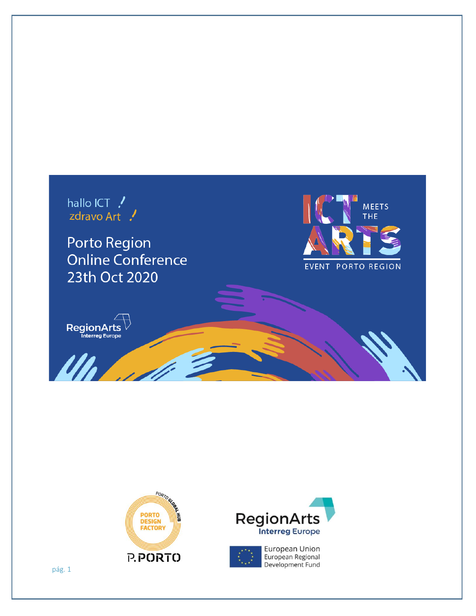







pág. 1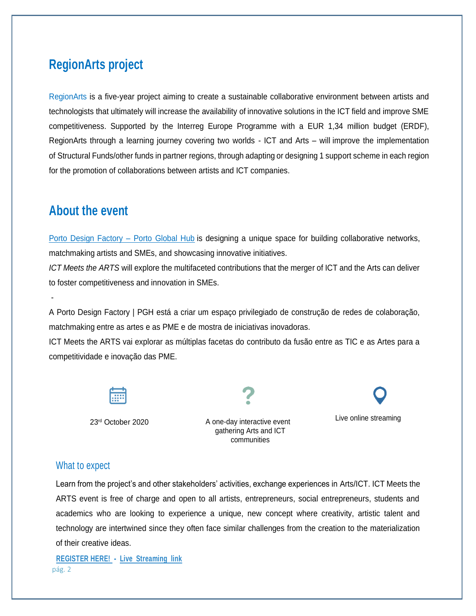## **RegionArts project**

[RegionArts is](https://www.interregeurope.eu/regionarts) a five-year project aiming to create a sustainable collaborative environment between artists and technologists that ultimately will increase the availability of innovative solutions in the ICT field and improve SME competitiveness. Supported by the Interreg Europe Programme with a EUR 1,34 million budget (ERDF), RegionArts through a learning journey covering two worlds - ICT and Arts – will improve the implementation of Structural Funds/other funds in partner regions, through adapting or designing 1 support scheme in each region for the promotion of collaborations between artists and ICT companies.

## **About the event**

-

[Porto Design Factory –](https://www.portoglobalhub.ipp.pt/pilares/PDF) Porto Global Hub is designing a unique space for building collaborative networks, matchmaking artists and SMEs, and showcasing innovative initiatives.

*ICT Meets the ARTS* will explore the multifaceted contributions that the merger of ICT and the Arts can deliver to foster competitiveness and innovation in SMEs.

A Porto Design Factory | PGH está a criar um espaço privilegiado de construção de redes de colaboração, matchmaking entre as artes e as PME e de mostra de iniciativas inovadoras.

ICT Meets the ARTS vai explorar as múltiplas facetas do contributo da fusão entre as TIC e as Artes para a competitividade e inovação das PME.



23<sup>rd</sup> October 2020 A one-day interactive event gathering Arts and ICT communities



## What to expect

Learn from the project's and other stakeholders' activities, exchange experiences in Arts/ICT. ICT Meets the ARTS event is free of charge and open to all artists, entrepreneurs, social entrepreneurs, students and academics who are looking to experience a unique, new concept where creativity, artistic talent and technology are intertwined since they often face similar challenges from the creation to the materialization of their creative ideas.

pág. 2 **[REGISTER HERE! -](https://forms.gle/Rcrubrp1qnWyTQKE8) [Live Streaming link](https://www.youtube.com/channel/UCgGlgJyV0bccqQFHU6NXbAg/about)**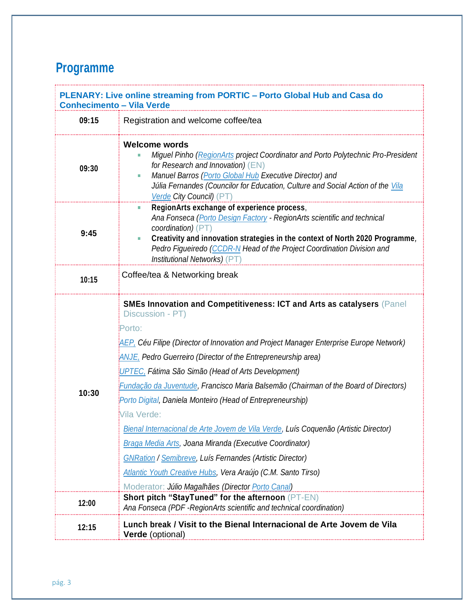## **Programme**

| PLENARY: Live online streaming from PORTIC - Porto Global Hub and Casa do<br><b>Conhecimento - Vila Verde</b> |                                                                                                                                                                                                                                                                                                                                                                                                                                                                                                                                                                                                                                                                                                                                                                                                                                             |  |
|---------------------------------------------------------------------------------------------------------------|---------------------------------------------------------------------------------------------------------------------------------------------------------------------------------------------------------------------------------------------------------------------------------------------------------------------------------------------------------------------------------------------------------------------------------------------------------------------------------------------------------------------------------------------------------------------------------------------------------------------------------------------------------------------------------------------------------------------------------------------------------------------------------------------------------------------------------------------|--|
| 09:15                                                                                                         | Registration and welcome coffee/tea                                                                                                                                                                                                                                                                                                                                                                                                                                                                                                                                                                                                                                                                                                                                                                                                         |  |
| 09:30                                                                                                         | Welcome words<br>Miguel Pinho (RegionArts project Coordinator and Porto Polytechnic Pro-President<br>for Research and Innovation) (EN)<br>Manuel Barros (Porto Global Hub Executive Director) and<br>Júlia Fernandes (Councilor for Education, Culture and Social Action of the Vila<br>Verde City Council) (PT)                                                                                                                                                                                                                                                                                                                                                                                                                                                                                                                            |  |
| 9:45                                                                                                          | RegionArts exchange of experience process,<br>Ana Fonseca (Porto Design Factory - RegionArts scientific and technical<br>coordination) (PT)<br>Creativity and innovation strategies in the context of North 2020 Programme,<br>Pedro Figueiredo (CCDR-N Head of the Project Coordination Division and<br>Institutional Networks) (PT)                                                                                                                                                                                                                                                                                                                                                                                                                                                                                                       |  |
| 10:15                                                                                                         | Coffee/tea & Networking break                                                                                                                                                                                                                                                                                                                                                                                                                                                                                                                                                                                                                                                                                                                                                                                                               |  |
| 10:30                                                                                                         | SMEs Innovation and Competitiveness: ICT and Arts as catalysers (Panel<br>Discussion - PT)<br>Porto:<br><b>AEP, Céu Filipe (Director of Innovation and Project Manager Enterprise Europe Network)</b><br>ANJE, Pedro Guerreiro (Director of the Entrepreneurship area)<br>UPTEC, Fátima São Simão (Head of Arts Development)<br>Eundação da Juventude, Francisco Maria Balsemão (Chairman of the Board of Directors)<br>Porto Digital, Daniela Monteiro (Head of Entrepreneurship)<br>Vila Verde:<br>Bienal Internacional de Arte Jovem de Vila Verde, Luís Coquenão (Artistic Director)<br>Braga Media Arts, Joana Miranda (Executive Coordinator)<br><b>GNRation / Semibreve, Luís Fernandes (Artistic Director)</b><br>Atlantic Youth Creative Hubs, Vera Araújo (C.M. Santo Tirso)<br>Moderator: Júlio Magalhães (Director Porto Canal) |  |
| 12:00                                                                                                         | <b>Short pitch "StayTuned" for the afternoon (PT-EN)</b><br>Ana Fonseca (PDF - RegionArts scientific and technical coordination)                                                                                                                                                                                                                                                                                                                                                                                                                                                                                                                                                                                                                                                                                                            |  |
| 12:15                                                                                                         | Lunch break / Visit to the Bienal Internacional de Arte Jovem de Vila<br><b>Verde</b> (optional)                                                                                                                                                                                                                                                                                                                                                                                                                                                                                                                                                                                                                                                                                                                                            |  |